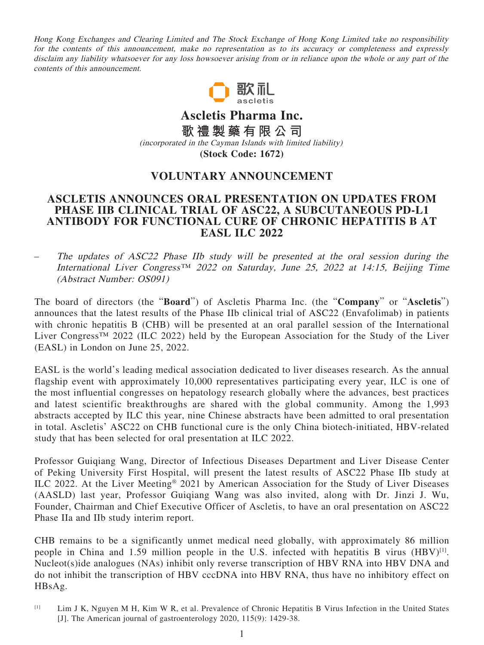Hong Kong Exchanges and Clearing Limited and The Stock Exchange of Hong Kong Limited take no responsibility for the contents of this announcement, make no representation as to its accuracy or completeness and expressly disclaim any liability whatsoever for any loss howsoever arising from or in reliance upon the whole or any part of the contents of this announcement.



**Ascletis Pharma Inc. 歌禮製藥有限公司** (incorporated in the Cayman Islands with limited liability)

**(Stock Code: 1672)**

## **VOLUNTARY ANNOUNCEMENT**

## **ASCLETIS ANNOUNCES ORAL PRESENTATION ON UPDATES FROM PHASE IIB CLINICAL TRIAL OF ASC22, A SUBCUTANEOUS PD-L1 ANTIBODY FOR FUNCTIONAL CURE OF CHRONIC HEPATITIS B AT EASL ILC 2022**

The updates of ASC22 Phase IIb study will be presented at the oral session during the International Liver Congress™ 2022 on Saturday, June 25, 2022 at 14:15, Beijing Time (Abstract Number: OS091)

The board of directors (the "**Board**") of Ascletis Pharma Inc. (the "**Company**" or "**Ascletis**") announces that the latest results of the Phase IIb clinical trial of ASC22 (Envafolimab) in patients with chronic hepatitis B (CHB) will be presented at an oral parallel session of the International Liver Congress™ 2022 (ILC 2022) held by the European Association for the Study of the Liver (EASL) in London on June 25, 2022.

EASL is the world's leading medical association dedicated to liver diseases research. As the annual flagship event with approximately 10,000 representatives participating every year, ILC is one of the most influential congresses on hepatology research globally where the advances, best practices and latest scientific breakthroughs are shared with the global community. Among the 1,993 abstracts accepted by ILC this year, nine Chinese abstracts have been admitted to oral presentation in total. Ascletis' ASC22 on CHB functional cure is the only China biotech-initiated, HBV-related study that has been selected for oral presentation at ILC 2022.

Professor Guiqiang Wang, Director of Infectious Diseases Department and Liver Disease Center of Peking University First Hospital, will present the latest results of ASC22 Phase IIb study at ILC 2022. At the Liver Meeting® 2021 by American Association for the Study of Liver Diseases (AASLD) last year, Professor Guiqiang Wang was also invited, along with Dr. Jinzi J. Wu, Founder, Chairman and Chief Executive Officer of Ascletis, to have an oral presentation on ASC22 Phase IIa and IIb study interim report.

CHB remains to be a significantly unmet medical need globally, with approximately 86 million people in China and 1.59 million people in the U.S. infected with hepatitis B virus (HBV)<sup>[1]</sup>. Nucleot(s)ide analogues (NAs) inhibit only reverse transcription of HBV RNA into HBV DNA and do not inhibit the transcription of HBV cccDNA into HBV RNA, thus have no inhibitory effect on HBsAg.

<sup>[1]</sup> Lim J K, Nguyen M H, Kim W R, et al. Prevalence of Chronic Hepatitis B Virus Infection in the United States [J]. The American journal of gastroenterology 2020, 115(9): 1429-38.